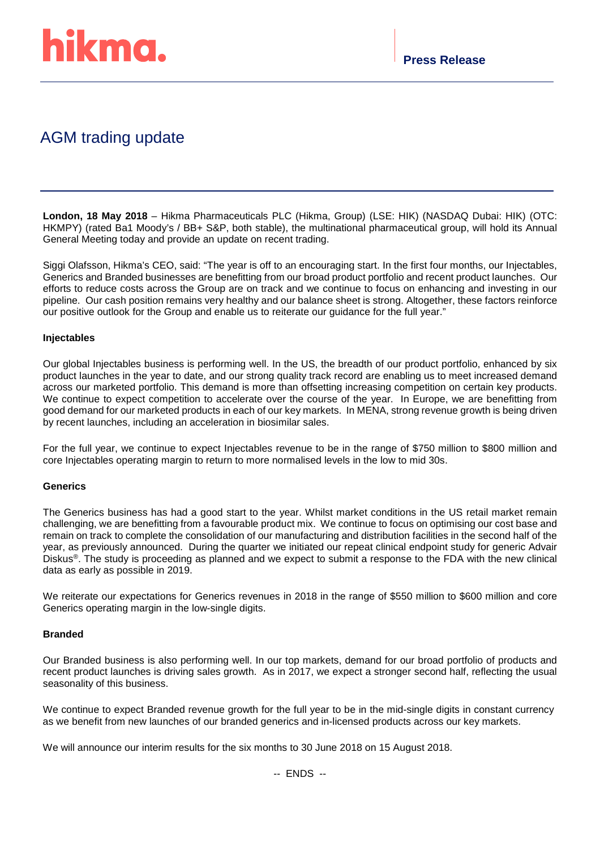

# AGM trading update

**London, 18 May 2018** – Hikma Pharmaceuticals PLC (Hikma, Group) (LSE: HIK) (NASDAQ Dubai: HIK) (OTC: HKMPY) (rated Ba1 Moody's / BB+ S&P, both stable), the multinational pharmaceutical group, will hold its Annual General Meeting today and provide an update on recent trading.

Siggi Olafsson, Hikma's CEO, said: "The year is off to an encouraging start. In the first four months, our Injectables, Generics and Branded businesses are benefitting from our broad product portfolio and recent product launches. Our efforts to reduce costs across the Group are on track and we continue to focus on enhancing and investing in our pipeline. Our cash position remains very healthy and our balance sheet is strong. Altogether, these factors reinforce our positive outlook for the Group and enable us to reiterate our guidance for the full year."

### **Injectables**

Our global Injectables business is performing well. In the US, the breadth of our product portfolio, enhanced by six product launches in the year to date, and our strong quality track record are enabling us to meet increased demand across our marketed portfolio. This demand is more than offsetting increasing competition on certain key products. We continue to expect competition to accelerate over the course of the year. In Europe, we are benefitting from good demand for our marketed products in each of our key markets. In MENA, strong revenue growth is being driven by recent launches, including an acceleration in biosimilar sales.

For the full year, we continue to expect Injectables revenue to be in the range of \$750 million to \$800 million and core Injectables operating margin to return to more normalised levels in the low to mid 30s.

## **Generics**

The Generics business has had a good start to the year. Whilst market conditions in the US retail market remain challenging, we are benefitting from a favourable product mix. We continue to focus on optimising our cost base and remain on track to complete the consolidation of our manufacturing and distribution facilities in the second half of the year, as previously announced. During the quarter we initiated our repeat clinical endpoint study for generic Advair Diskus®. The study is proceeding as planned and we expect to submit a response to the FDA with the new clinical data as early as possible in 2019.

We reiterate our expectations for Generics revenues in 2018 in the range of \$550 million to \$600 million and core Generics operating margin in the low-single digits.

#### **Branded**

Our Branded business is also performing well. In our top markets, demand for our broad portfolio of products and recent product launches is driving sales growth. As in 2017, we expect a stronger second half, reflecting the usual seasonality of this business.

We continue to expect Branded revenue growth for the full year to be in the mid-single digits in constant currency as we benefit from new launches of our branded generics and in-licensed products across our key markets.

We will announce our interim results for the six months to 30 June 2018 on 15 August 2018.